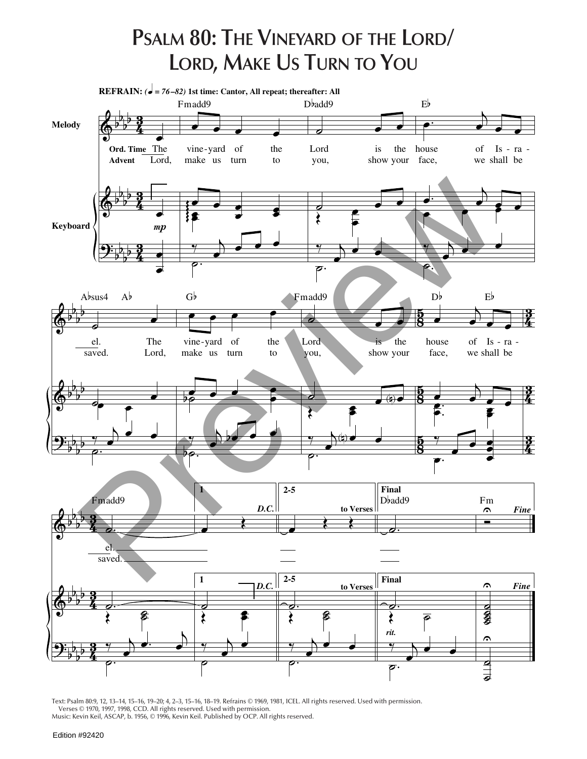## **PSALM 80: THE VINEYARD OF THE LORD/ LORD, MAKE US TURN TO YOU**



Text: Psalm 80:9, 12, 13–14, 15–16, 19–20; 4, 2–3, 15–16, 18–19. Refrains © 1969, 1981, ICEL. All rights reserved. Used with permission. Verses © 1970, 1997, 1998, CCD. All rights reserved. Used with permission.

Music: Kevin Keil, ASCAP, b. 1956, © 1996, Kevin Keil. Published by OCP. All rights reserved.